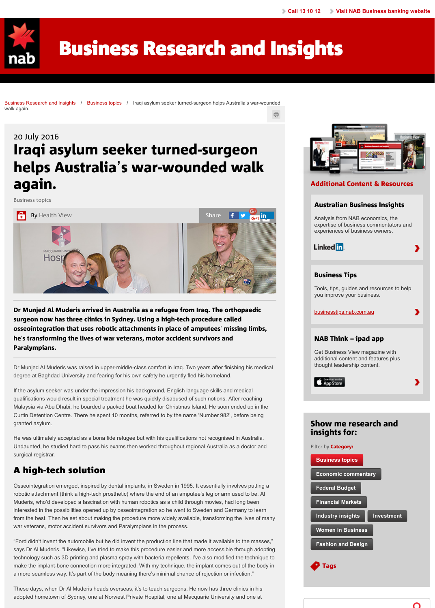

[Dr Munjed Al M](http://www.nab.com.au/)[uderis arrived in Australia as a refugee from Iraq. The orthopaedic](http://business.nab.com.au/) surgeon now has three clinics in Sydney. Using a high-tech procedure called osseointegration that uses robotic attachments in place of amputees' missing limbs, he's transforming the lives of war veterans, motor accident survivors and [Paralympians.](http://business.nab.com.au/)

Dr Munjed Al Muderis was raised in upper-middle-class comfort in Iraq. Two years after finishing his medica[l](http://business.nab.com.au/iraqi-asylum-seeker-turned-surgeon-helps-australias-war-wounded-walk-again-17723/#) degree at Baghdad University and fearing for his own safety he urgently fled his homeland.

If the asylum seeker was under the impression his background, English language skills and medical qualifications would result in special treatment he was quickly disabused of such notions. After reaching Malaysia via Abu Dhabi, he boarded a packed boat headed for Christmas Island. He soon ended up in the Curtin Detention Centre. There he spent 10 months, referred to by the name 'Number 982', before being granted asylum.

He was ultimately accepted as a bona fide refugee but with his qualifications not recognised in Australia. [Undaunted, he s](http://business.nab.com.au/category/business-topics/)tudied hard to pass his exams then worked throughout regional Australia as a doctor and surgical registrar.

## A hig[h-tech s](http://business.nab.com.au/author/health-view)olution A high-tech solution

Osseointegration emerged, inspired by dental implants, in Sweden in 1995. It essentially involves putting a robotic attachment (think a high-tech prosthetic) where the end of an amputee's leg or arm used to be. Al Muderis, who'd developed a fascination with human robotics as a child through movies, had long been interested in the possibilities opened up by osseointegration so he went to Sweden and Germany to learn from the best. Then he set about making the procedure more widely available, transforming the lives of many war veterans, motor accident survivors and Paralympians in the process.

"Ford didn't invent the automobile but he did invent the production line that made it available to the masses," says Dr Al Muderis. "Likewise, I've tried to make this procedure easier and more accessible through adopting technology such as 3D printing and plasma spray with bacteria repellents. I've also modified the technique to make the implant-bone connection more integrated. With my technique, the implant comes out of the body in a more seamless way. It's part of the body meaning there's minimal chance of rejection or infection."

These days, when Dr Al Muderis heads overseas, it's to teach surgeons. He now has three clinics in his adopted hometown of Sydney, one at Norwest Private Hospital, one at Macquarie University and one at